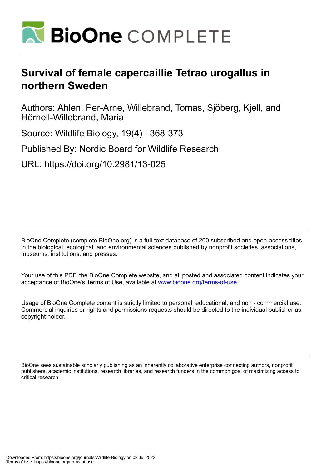

# **Survival of female capercaillie Tetrao urogallus in northern Sweden**

Authors: Åhlen, Per-Arne, Willebrand, Tomas, Sjöberg, Kjell, and Hörnell-Willebrand, Maria

Source: Wildlife Biology, 19(4) : 368-373

Published By: Nordic Board for Wildlife Research

URL: https://doi.org/10.2981/13-025

BioOne Complete (complete.BioOne.org) is a full-text database of 200 subscribed and open-access titles in the biological, ecological, and environmental sciences published by nonprofit societies, associations, museums, institutions, and presses.

Your use of this PDF, the BioOne Complete website, and all posted and associated content indicates your acceptance of BioOne's Terms of Use, available at www.bioone.org/terms-of-use.

Usage of BioOne Complete content is strictly limited to personal, educational, and non - commercial use. Commercial inquiries or rights and permissions requests should be directed to the individual publisher as copyright holder.

BioOne sees sustainable scholarly publishing as an inherently collaborative enterprise connecting authors, nonprofit publishers, academic institutions, research libraries, and research funders in the common goal of maximizing access to critical research.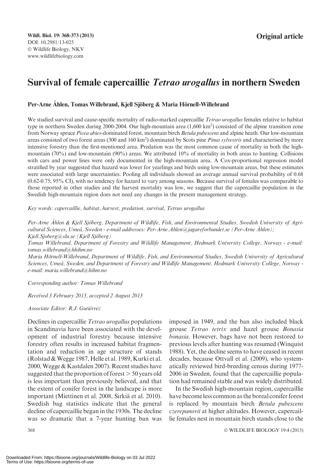# Survival of female capercaillie Tetrao urogallus in northern Sweden

#### Per-Arne Åhlen, Tomas Willebrand, Kiell Sjöberg & Maria Hörnell-Willebrand

We studied survival and cause-specific mortality of radio-marked capercaillie Tetrao urogallus females relative to habitat type in northern Sweden during 2000-2004. Our high-mountain area (1,600 km<sup>2</sup>) consisted of the alpine transition zone from Norway spruce Picea abies-dominated forest, mountain birch Betula pubescens and alpine heath. Our low-mountain areas consisted of two forest areas (300 and 160 km<sup>2</sup>) dominated by Scots pine *Pinus sylvestris* and characterised by more intensive forestry than the first-mentioned area. Predation was the most common cause of mortality in both the highmountain (70%) and low-mountain (90%) areas. We attributed 10% of mortality in both areas to hunting. Collisions with cars and power lines were only documented in the high-mountain area. A Cox-proportional regression model stratified by year suggested that hazard was lower for yearlings and birds using low-mountain areas, but these estimates were associated with large uncertainties. Pooling all individuals showed an average annual survival probability of 0.68 (0.62-0.75; 95% CI), with no tendency for hazard to vary among seasons. Because survival of females was comparable to those reported in other studies and the harvest mortality was low, we suggest that the capercaillie population in the Swedish high-mountain region does not need any changes in the present management strategy.

Key words: capercaillie, habitat, harvest, predation, survival, Tetrao urogallus

Per-Arne Åhlen & Kjell Sjöberg, Department of Wildlife, Fish, and Environmental Studies, Swedish University of Agricultural Sciences, Umeå, Sweden - e-mail addresses: Per-Arne.Ahlen@jagareforbundet.se (Per-Arne Åhlen); Kjell.Sjoberg@slu.se (Kjell Sjöberg)

Tomas Willebrand, Department of Forestry and Wildlife Management, Hedmark University College, Norway - e-mail: tomas.willebrand@hhihm.no

Maria Hörnell-Willebrand, Department of Wildlife, Fish, and Environmental Studies, Swedish University of Agricultural Sciences, Umeå, Sweden, and Department of Forestry and Wildlife Management, Hedmark University College, Norway e-mail: maria.willebrand@hihm.no

Corresponding author: Tomas Willebrand

Received 3 February 2013, accepted 2 August 2013

Associate Editor: R.J. Gutiérrez

Declines in capercaillie *Tetrao urogallus* populations in Scandinavia have been associated with the development of industrial forestry because intensive forestry often results in increased habitat fragmentation and reduction in age structure of stands (Rolstad  $&Wegge 1987$ , Helle et al. 1989, Kurki et al. 2000, Wegge & Kastdalen 2007). Recent studies have suggested that the proportion of forest  $>$  50 years old is less important than previously believed, and that the extent of conifer forest in the landscape is more important (Miettinen et al. 2008, Sirkiä et al. 2010). Swedish bag statistics indicate that the general decline of capercaillie began in the 1930s. The decline was so dramatic that a 7-year hunting ban was

imposed in 1949, and the ban also included black grouse Tetrao tetrix and hazel grouse Bonasia bonasia. However, bags have not been restored to previous levels after hunting was resumed (Winquist 1988). Yet, the decline seems to have ceased in recent decades, because Ottvall et al. (2009), who systematically reviewed bird-breeding census during 1977- 2006 in Sweden, found that the capercaillie population had remained stable and was widely distributed.

In the Swedish high-mountain region, capercaillie have become less common as the boreal conifer forest is replaced by mountain birch Betula pubescens czerepanovii at higher altitudes. However, capercaillie females nest in mountain birch stands close to the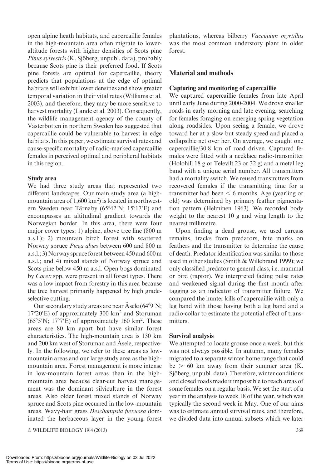open alpine heath habitats, and capercaillie females in the high-mountain area often migrate to loweraltitude forests with higher densities of Scots pine Pinus sylvestris (K. Sjöberg, unpubl. data), probably because Scots pine is their preferred food. If Scots pine forests are optimal for capercaillie, theory predicts that populations at the edge of optimal habitats will exhibit lower densities and show greater temporal variation in their vital rates (Williams et al. 2003), and therefore, they may be more sensitive to harvest mortality (Lande et al. 2003). Consequently, the wildlife management agency of the county of Västerbotten in northern Sweden has suggested that capercaillie could be vulnerable to harvest in edge habitats. In this paper, we estimate survival rates and cause-specific mortality of radio-marked capercaillie females in perceived optimal and peripheral habitats in this region.

#### Study area

We had three study areas that represented two different landscapes. Our main study area (a highmountain area of 1,600 km<sup>2</sup>) is located in northwestern Sweden near Tärnaby ( $65^{\circ}42'N$ ;  $15^{\circ}17'E$ ) and encompasses an altitudinal gradient towards the Norwegian border. In this area, there were four major cover types: 1) alpine, above tree line (800 m a.s.l.); 2) mountain birch forest with scattered Norway spruce Picea abies between 600 and 800 m a.s.l.; 3)Norway spruce forest between 450 and 600 m a.s.l.; and 4) mixed stands of Norway spruce and Scots pine below 450 m a.s.l. Open bogs dominated by Carex spp. were present in all forest types. There was a low impact from forestry in this area because the tree harvest primarily happened by high gradeselective cutting.

Our secondary study areas are near Å sele  $(64°9'N;$  $17^{\circ}20'E$ ) of approximately 300 km<sup>2</sup> and Storuman  $(65°5'N; 17°7'E)$  of approximately 160 km<sup>2</sup>. These areas are 80 km apart but have similar forest characteristics. The high-mountain area is 130 km and 200 km west of Storuman and Asele, respectively. In the following, we refer to these areas as lowmountain areas and our large study area as the highmountain area. Forest management is more intense in low-mountain forest areas than in the highmountain area because clear-cut harvest management was the dominant silviculture in the forest areas. Also older forest mixed stands of Norway spruce and Scots pine occurred in the low-mountain areas. Wavy-hair grass Deschampsia flexuosa dominated the herbaceous layer in the young forest

© WILDLIFE BIOLOGY 19:4 (2013) 369

plantations, whereas bilberry Vaccinium myrtillus was the most common understory plant in older forest.

# Material and methods

### Capturing and monitoring of capercaillie

We captured capercaillie females from late April until early June during 2000-2004. We drove smaller roads in early morning and late evening, searching for females foraging on emerging spring vegetation along roadsides. Upon seeing a female, we drove toward her at a slow but steady speed and placed a collapsible net over her. On average, we caught one capercaillie/30.8 km of road driven. Captured females were fitted with a necklace radio-transmitter (Holohill 18 g or Televilt 23 or 32 g) and a metal leg band with a unique serial number. All transmitters had a mortality switch. We reused transmitters from recovered females if the transmitting time for a transmitter had been  $\leq 6$  months. Age (yearling or old) was determined by primary feather pigmentation pattern (Helminen 1963). We recorded body weight to the nearest 10 g and wing length to the nearest millimetre.

Upon finding a dead grouse, we used carcass remains, tracks from predators, bite marks on feathers and the transmitter to determine the cause of death. Predator identification was similar to those used in other studies (Smith & Willebrand 1999); we only classified predator to general class, i.e. mammal or bird (raptor). We interpreted fading pulse rates and weakened signal during the first month after tagging as an indicator of transmitter failure. We compared the hunter kills of capercaillie with only a leg band with those having both a leg band and a radio-collar to estimate the potential effect of transmitters.

#### Survival analysis

We attempted to locate grouse once a week, but this was not always possible. In autumn, many females migrated to a separate winter home range that could  $be > 60$  km away from their summer area (K. Sjöberg, unpubl. data). Therefore, winter conditions and closed roads made it impossible to reach areas of some females on a regular basis. We set the start of a year in the analysis to week 18 of the year, which was typically the second week in May. One of our aims was to estimate annual survival rates, and therefore, we divided data into annual subsets which we later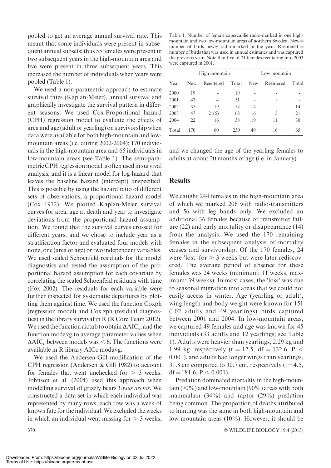pooled to get an average annual survival rate. This meant that some individuals were present in subsequent annual subsets; thus 55 females were present in two subsequent years in the high-mountain area and five were present in three subsequent years. This increased the number of individuals when years were pooled (Table 1).

We used a non-parametric approach to estimate survival rates (Kaplan-Meier), annual survival and graphically investigate the survival pattern in different seasons. We used Cox-Proportional hazard (CPH) regression model to evaluate the effects of area and age (adult or yearling) on survivorship when data were available for both high-mountain and lowmountain areas (i.e. during 2002-2004); 170 individuals in the high-mountain area and 65 individuals in low-mountain areas (see Table 1). The semi-parametric CPH regression model is often used in survival analysis, and it is a linear model for log-hazard that leaves the baseline hazard (intercept) unspecified. This is possible by using the hazard ratio of different sets of observations, a proportional hazard model (Cox 1972). We plotted Kaplan-Meier survival curves for area, age at death and year to investigate deviations from the proportional hazard assumption. We found that the survival curves crossed for different years, and we chose to include year as a stratification factor and evaluated four models with none, one (area or age) or two independent variables. We used scaled Schoenfeld residuals for the model diagnostics and tested the assumption of the proportional hazard assumption for each covariate by correlating the scaled Schoenfeld residuals with time (Fox 2002). The residuals for each variable were further inspected for systematic departures by plotting them against time. We used the function Coxph (regression model) and Cox.zph (residual diagnostics) in the library survival in R (R Core Team 2012). We used the function aictab to obtain  $\Delta AIC_c$ , and the function modavg to average parameter values when  $\Delta AIC_c$  between models was  $\leq 6$ . The functions were available in R library AICc modavg.

We used the Andersen-Gill modification of the CPH regression (Andersen & Gill 1982) to account for females that went unchecked for  $> 3$  weeks. Johnson et al. (2004) used this approach when modelling survival of grizzly bears Ursus arctos. We constructed a data set in which each individual was represented by many rows; each row was a week of known fate for the individual.We excluded the weeks in which an individual went missing for  $> 3$  weeks,

Table 1. Number of female capercaillie radio-marked in one highmountain and two low-mountain areas of northern Sweden. New  $=$ number of birds newly radio-marked in the year. Reentered  $=$ number of birds that was used in annual estimates and was captured the previous year. Note that five of 21 females reentering into 2003 were captured in 2001.

|       | High mountain |           |       | Low mountain |           |       |  |
|-------|---------------|-----------|-------|--------------|-----------|-------|--|
| Year  | <b>New</b>    | Reentered | Total | <b>New</b>   | Reentered | Total |  |
| 2000  | 19            |           | 19    |              |           |       |  |
| 2001  | 47            | 4         | 51    |              |           |       |  |
| 2002  | 35            | 19        | 54    | 14           |           | 14    |  |
| 2003  | 47            | 21(5)     | 68    | 16           | 5         | 21    |  |
| 2004  | 22            | 16        | 38    | 19           | 11        | 30    |  |
| Total | 170           | 60        | 230   | 49           | 16        | 65    |  |

and we changed the age of the yearling females to adults at about 20 months of age (i.e. in January).

#### **Results**

We caught 244 females in the high-mountain area of which we marked 206 with radio-transmitters and 56 with leg bands only. We excluded an additional 36 females because of transmitter failure (22) and early mortality or disappearance (14) from the analysis. We used the 170 remaining females in the subsequent analysis of mortality causes and survivorship. Of the 170 females, 24 were 'lost' for  $> 3$  weeks but were later rediscovered. The average period of absence for these females was 24 weeks (minimum: 11 weeks, maximum: 39 weeks). In most cases, the 'loss' was due to seasonal migration into areas that we could not easily access in winter. Age (yearling or adult), wing length and body weight were known for 151 (102 adults and 49 yearlings) birds captured between 2001 and 2004. In low-mountain areas, we captured 49 females and age was known for 45 individuals (33 adults and 12 yearlings; see Table 1). Adults were heavier than yearlings, 2.29 kg and 1.99 kg, respectively (t = 12.5, df = 132.6, P < 0.001), and adults had longer wings than yearlings, 31.8 cm compared to 30.7 cm, respectively  $(t=4.5,$  $df = 181.6$ ,  $P < 0.001$ ).

Predation dominated mortality in the high-mountain (70%) and low-mountain (90%) areas with both mammalian (34%) and raptor (29%) predation being common. The proportion of deaths attributed to hunting was the same in both high-mountain and low-mountain areas (10%). However, it should be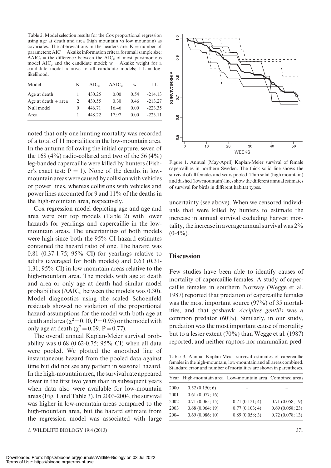Table 2. Model selection results for the Cox proportional regression using age at death and area (high mountain vs low mountain) as covariates. The abbreviations in the headers are:  $K =$  number of parameters;  $AIC_c = Akaike$  information critera for small sample size;  $\Delta AIC_c$  = the difference between the AIC<sub>c</sub> of most parsimonious model  $AIC_c$  and the candidate model;  $w = Akaike$  weight for a candidate model relative to all candidate models;  $LL = log$ likelihood.

| Model                 | K        | $AIC_c$ | $\triangle AIC_c$ | W    | LL        |
|-----------------------|----------|---------|-------------------|------|-----------|
| Age at death          |          | 430.25  | 0.00              | 0.54 | $-214.13$ |
| Age at death $+$ area | 2        | 430.55  | 0.30              | 0.46 | $-213.27$ |
| Null model            | $\theta$ | 446.71  | 16.46             | 0.00 | $-223.35$ |
| Area                  |          | 448.22  | 1797              | 0.00 | $-223.11$ |

noted that only one hunting mortality was recorded of a total of 11 mortalities in the low-mountain area. In the autumn following the initial capture, seven of the 168  $(4\%)$  radio-collared and two of the 56  $(4\%)$ leg-banded capercaillie were killed by hunters (Fisher's exact test:  $P = 1$ ). None of the deaths in lowmountain areas were caused by collision with vehicles or power lines, whereas collisions with vehicles and power lines accounted for 9 and 11% of the deaths in the high-mountain area, respectively.

Cox regression model depicting age and age and area were our top models (Table 2) with lower hazards for yearlings and capercaillie in the lowmountain areas. The uncertainties of both models were high since both the 95% CI hazard estimates contained the hazard ratio of one. The hazard was 0.81 (0.37-1.75; 95% CI) for yearlings relative to adults (averaged for both models) and 0.63 (0.31- 1.31; 95% CI) in low-mountain areas relative to the high-mountain area. The models with age at death and area or only age at death had similar model probabilities ( $\Delta AIC_c$  between the models was 0.30). Model diagnostics using the scaled Schoenfeld residuals showed no violation of the proportional hazard assumptions for the model with both age at death and area ( $\chi^2$ =0.10, P=0.95) or the model with only age at death ( $\gamma^2 = 0.09$ , P = 0.77).

The overall annual Kaplan-Meier survival probability was 0.68 (0.62-0.75; 95% CI) when all data were pooled. We plotted the smoothed line of instantaneous hazard from the pooled data against time but did not see any pattern in seasonal hazard. In the high-mountain area, the survival rate appeared lower in the first two years than in subsequent years when data also were available for low-mountain areas (Fig. 1 and Table 3). In 2003-2004, the survival was higher in low-mountain areas compared to the high-mountain area, but the hazard estimate from the regression model was associated with large

- WILDLIFE BIOLOGY 19:4 (2013) 371



Figure 1. Annual (May-April) Kaplan-Meier survival of female capercaillies in northern Sweden. The thick solid line shows the survival of all females and years pooled. Thin solid (high mountain) and dashed (lowmountain) lines show the different annual estimates of survival for birds in different habitat types.

uncertainty (see above). When we censored individuals that were killed by hunters to estimate the increase in annual survival excluding harvest mortality, the increase in average annual survival was 2%  $(0-4\%)$ .

#### **Discussion**

Few studies have been able to identify causes of mortality of capercaillie females. A study of capercaillie females in southern Norway (Wegge et al. 1987) reported that predation of capercaillie females was the most important source (97%) of 35 mortalities, and that goshawk Accipites gentilis was a common predator (60%). Similarly, in our study, predation was the most important cause of mortality but to a lesser extent (70%) than Wegge et al. (1987) reported, and neither raptors nor mammalian pred-

Table 3. Annual Kaplan-Meier survival estimates of capercaillie females in the high-mountain, low-mountain and all areas combined. Standard error and number of mortalities are shown in parentheses.

|      | Year High-mountain area Low-mountain area Combined areas |                |                 |
|------|----------------------------------------------------------|----------------|-----------------|
| 2000 | 0.52(0.150; 6)                                           |                |                 |
| 2001 | 0.61(0.077; 16)                                          |                |                 |
| 2002 | 0.71(0.065; 15)                                          | 0.71(0.121; 4) | 0.71(0.058; 19) |
| 2003 | 0.68(0.064; 19)                                          | 0.77(0.103; 4) | 0.69(0.058; 23) |
| 2004 | 0.69(0.086; 10)                                          | 0.89(0.058; 3) | 0.72(0.078; 13) |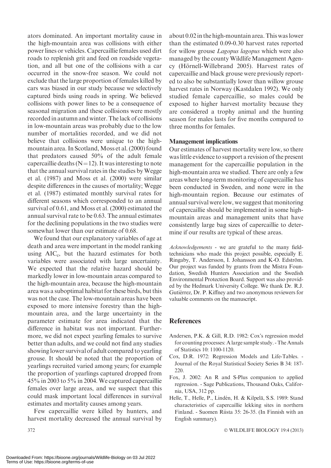ators dominated. An important mortality cause in the high-mountain area was collisions with either power lines or vehicles. Capercaillie females used dirt roads to replenish grit and feed on roadside vegetation, and all but one of the collisions with a car occurred in the snow-free season. We could not exclude that the large proportion of females killed by cars was biased in our study because we selectively captured birds using roads in spring. We believed collisions with power lines to be a consequence of seasonal migration and these collisions were mostly recorded in autumn and winter. The lack of collisions in low-mountain areas was probably due to the low number of mortalities recorded, and we did not believe that collisions were unique to the highmountain area. In Scotland, Moss et al. (2000) found that predators caused 50% of the adult female capercaillie deaths  $(N=12)$ . It was interesting to note that the annual survival rates in the studies by Wegge et al. (1987) and Moss et al. (2000) were similar despite differences in the causes of mortality; Wegge et al. (1987) estimated monthly survival rates for different seasons which corresponded to an annual survival of 0.61, and Moss et al. (2000) estimated the annual survival rate to be 0.63. The annual estimates for the declining populations in the two studies were somewhat lower than our estimate of 0.68.

We found that our explanatory variables of age at death and area were important in the model ranking using  $AIC_c$ , but the hazard estimates for both variables were associated with large uncertainty. We expected that the relative hazard should be markedly lower in low-mountain areas compared to the high-mountain area, because the high-mountain area was a suboptimal habitat for these birds, but this was not the case. The low-mountain areas have been exposed to more intensive forestry than the highmountain area, and the large uncertainty in the parameter estimate for area indicated that the difference in habitat was not important. Furthermore, we did not expect yearling females to survive better than adults, and we could not find any studies showing lower survival of adult compared to yearling grouse. It should be noted that the proportion of yearlings recruited varied among years; for example the proportion of yearlings captured dropped from 45% in 2003 to 5% in 2004. We captured capercaillie females over large areas, and we suspect that this could mask important local differences in survival estimates and mortality causes among years.

Few capercaillie were killed by hunters, and harvest mortality decreased the annual survival by

about 0.02 in the high-mountain area. This was lower than the estimated 0.09-0.30 harvest rates reported for willow grouse Lagopus lagopus which were also managed by the county Wildlife Management Agency (Hörnell-Willebrand 2005). Harvest rates of capercaillie and black grouse were previously reported to also be substantially lower than willow grouse harvest rates in Norway (Kastdalen 1992). We only studied female capercaillie, so males could be exposed to higher harvest mortality because they are considered a trophy animal and the hunting season for males lasts for five months compared to three months for females.

#### Management implications

Our estimates of harvest mortality were low, so there was little evidence to support a revision of the present management for the capercaillie population in the high-mountain area we studied. There are only a few areas where long-term monitoring of capercaillie has been conducted in Sweden, and none were in the high-mountain region. Because our estimates of annual survival were low, we suggest that monitoring of capercaillie should be implemented in some highmountain areas and management units that have consistently large bag sizes of capercaillie to determine if our results are typical of these areas.

Acknowledgements - we are grateful to the many fieldtechnicians who made this project possible, especially E. Ringaby, T. Andersson, I. Johansson and K-O. Edström. Our project was funded by grants from the Mistra Foundation, Swedish Hunters Association and the Swedish Environmental Protection Board. Support was also provided by the Hedmark University College. We thank Dr. R.J. Gutiérrez, Dr. P. Kiffney and two anonymous reviewers for valuable comments on the manuscript.

## References

- Andersen, P.K. & Gill, R.D. 1982: Cox's regression model for counting processes: A large sample study. - The Annals of Statistics 10: 1100-1120.
- Cox, D.R. 1972: Regression Models and Life-Tables. Journal of the Royal Statistical Society Series B 34: 187- 220.
- Fox, J. 2002: An R and S-Plus companion to applied regression. - Sage Publications, Thousand Oaks, California, USA, 312 pp.
- Helle, T., Helle, P., Lindén, H. & Kilpelä, S.S. 1989: Stand characteristics of capercaillie lekking sites in northern Finland. - Suomen Riista 35: 26-35. (In Finnish with an English summary).